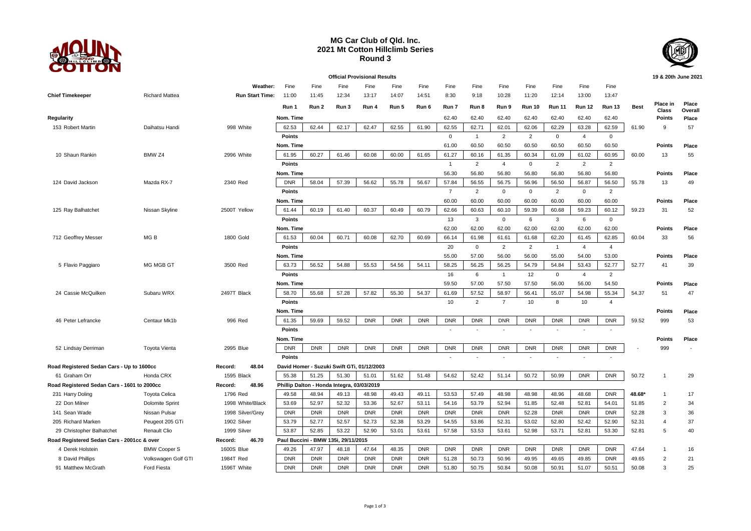

## **MG Car Club of Qld. Inc. 2021 Mt Cotton Hillclimb Series Round 3**



**Official Provisional Results 19 & 20th June 2021 Weather:** Fine Fine Fine Fine Fine Fine Fine Fine Fine Fine Fine Fine Fine **Chief Timekeeper** Richard Mattea **Run Start Time:** 11:00 11:45 12:34 13:17 14:07 14:51 8:30 9:18 10:28 11:20 12:14 13:00 13:47 **Run 1 Run 2 Run 3 Run 4 Run 5 Run 6 Run 7 Run 8 Run 9 Run 10 Run 11 Run 12 Run 13 Best Place in Class Place Overall Regularity Nom. Time** 62.40 62.40 62.40 62.40 62.40 62.40 62.40 **Points Place** 153 Robert Martin Daihatsu Handi 998 White 62.53 62.44 62.17 62.47 62.55 61.90 62.55 62.71 62.01 62.06 62.29 63.28 62.59 61.90 9 57 **Points** 0 1 2 2 0 4 0 **Nom. Time** 61.00 60.50 60.50 60.50 60.50 60.50 60.50 **Points Place** 10 Shaun Rankin BMW Z4 2996 White 61.95 60.27 61.46 60.08 60.00 61.65 61.27 60.16 61.35 60.34 61.09 61.02 60.95 60.00 13 55 **Points** 1 2 4 0 2 2 2 **Nom. Time** 56.30 56.80 56.80 56.80 56.80 56.80 56.80 **Points Place** 124 David Jackson Mazda RX-7 2340 Red | DNR | 58.04 | 57.39 | 56.62 | 55.78 | 56.87 | 56.50 | 56.50 | 56.50 | 55.50 | 55.78 13 49 **Points** 7 2 0 0 2 0 2 **Nom. Time** 60.00 60.00 60.00 60.00 60.00 60.00 60.00 **Points Place** 125 Ray Balhatchet Nissan Skyline 2500T Yellow | 61.44 | 60.19 | 61.40 | 60.37 | 60.49 | 60.79 | 62.66 | 60.63 | 60.01 | 59.39 | 60.68 | 59.23 | 60.12 | 59.23 31 52 **Points** 13 3 0 6 3 6 0 **Nom. Time** 62.00 62.00 62.00 62.00 62.00 62.00 62.00 **Points Place** 712 Geoffrey Messer MG B 1800 Gold | 61.53 | 60.04 | 60.71 | 60.08 | 62.70 | 60.69 | 66.14 | 61.88 | 61.61 | 61.85 | 62.85 | 60.04 33 56 **Points** 20 0 2 2 1 4 4 **Nom. Time** 55.00 57.00 56.00 56.00 55.00 54.00 53.00 **Points Place** 5 Flavio Paggiaro MG MGB GT 3500 Red | 63.73 | 56.52 | 54.88 | 55.53 | 54.56 | 54.11 | 58.25 | 56.25 | 56.25 | 54.84 | 53.43 | 52.77 | 52.77 | 41 39 **Points** 16 6 1 12 0 4 2 **Nom. Time** 59.50 57.00 57.50 57.50 56.00 56.00 54.50 **Points Place** 24 Cassie McQuilken Subaru WRX 2497T Black 58.70 55.68 57.28 57.82 55.30 54.37 61.69 57.52 58.97 56.41 55.07 54.98 55.34 54.37 51 47 **Points** 2 **10** 2 7 10 8 10 4 **Nom. Time Points Place** 46 Peter Lefrancke Centaur Mk1b 996 Red 61.35 59.69 59.52 DNR DNR DNR DNR DNR DNR DNR DNR DNR DNR 59.52 999 53 **Points** - - - - - - - **Nom. Time Points Place** 52 Lindsay Derriman Toyota Vienta 2995 Blue DNR DNR DNR DNR DNR DNR DNR DNR DNR DNR DNR DNR DNR - 999 - **Points and the set of the set of the set of the set of the set of the set of the set of the set of the set of the set of the set of the set of the set of the set of the set of the set of the set of the set of the set of Road Registered Sedan Cars - Up to 1600cc Record: 48.04 David Homer - Suzuki Swift GTi, 01/12/2003** 61 Graham Orr Honda CRX 1595 Black 55.38 51.25 51.30 51.01 51.62 51.48 54.62 52.42 51.14 50.72 50.99 DNR DNR 50.72 1 29 **Road Registered Sedan Cars - 1601 to 2000cc Record: 48.96 Phillip Dalton - Honda Integra, 03/03/2019** 231 Harry Doling Toyota Celica 1796 Red 49.58 48.94 49.13 48.98 49.43 49.11 53.53 57.49 48.98 48.98 48.96 48.68 DNR **48.68\*** 1 17 22 Don Milner Dolomite Sprint 1998 White/Black 53.69 52.97 52.32 53.36 52.67 53.11 54.16 53.79 52.94 51.85 52.48 52.81 54.01 51.85 2 34 141 Sean Wade Nissan Pulsar 1998 Silver/Grey DNR DNR DNR DNR DNR DNR DNR DNR DNR 52.28 DNR DNR DNR 52.28 3 36 205 Richard Marken Peugeot 205 GTi 1902 Silver 53.79 52.77 52.57 52.73 52.38 53.29 54.55 53.86 52.31 53.02 52.80 52.42 52.90 52.31 4 37 29 Christopher Balhatchet Renault Clio 1999 Silver 53.87 52.85 53.22 52.90 53.01 53.61 57.58 53.53 53.61 52.98 53.71 52.81 53.30 52.81 5 40 **Road Registered Sedan Cars - 2001cc & over Record: 46.70 Paul Buccini - BMW 135i, 29/11/2015** 4 Derek Holstein BMW Cooper S 1600S Blue 49.26 47.97 48.18 47.64 48.35 DNR DNR DNR DNR DNR DNR DNR DNR 47.64 1 16 8 David Phillips Volkswagen Golf GTI 1984T Red DNR DNR DNR DNR DNR DNR 50.28 49.95 49.95 49.65 DNR 49.65 2 21 91 Matthew McGrath Ford Fiesta 1596T White | DNR | DNR | DNR | DNR | DNR | DNR | 50.75 | 50.84 | 50.08 | 50.91 | 51.07 | 50.51 | 50.08 3 25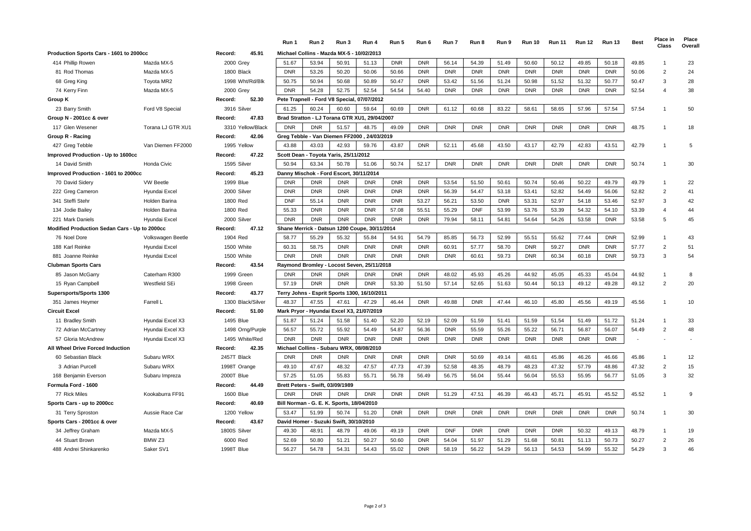|                                                      |                   |                  |                                          | Run 1      | Run 2                                     | Run 3      | Run 4                                         | Run 5      | Run 6      | Run 7      | Run 8      | Run 9      | <b>Run 10</b> | <b>Run 11</b> | <b>Run 12</b> | <b>Run 13</b> | <b>Best</b> | Place in<br>Class | Place<br>Overall |
|------------------------------------------------------|-------------------|------------------|------------------------------------------|------------|-------------------------------------------|------------|-----------------------------------------------|------------|------------|------------|------------|------------|---------------|---------------|---------------|---------------|-------------|-------------------|------------------|
| Production Sports Cars - 1601 to 2000cc              |                   | Record:          | 45.91                                    |            | Michael Collins - Mazda MX-5 - 10/02/2013 |            |                                               |            |            |            |            |            |               |               |               |               |             |                   |                  |
| 414 Phillip Rowen                                    | Mazda MX-5        | 2000 Grey        |                                          | 51.67      | 53.94                                     | 50.91      | 51.13                                         | <b>DNR</b> | <b>DNR</b> | 56.14      | 54.39      | 51.49      | 50.60         | 50.12         | 49.85         | 50.18         | 49.85       |                   | 23               |
| 81 Rod Thomas                                        | Mazda MX-5        | 1800 Black       |                                          | <b>DNR</b> | 53.26                                     | 50.20      | 50.06                                         | 50.66      | <b>DNR</b> | <b>DNR</b> | <b>DNR</b> | <b>DNR</b> | <b>DNR</b>    | <b>DNR</b>    | <b>DNR</b>    | <b>DNR</b>    | 50.06       | $\mathcal{P}$     | 24               |
| 68 Greg King                                         | Toyota MR2        | 1998 Wht/Rd/Blk  |                                          | 50.75      | 50.94                                     | 50.68      | 50.89                                         | 50.47      | <b>DNR</b> | 53.42      | 51.56      | 51.24      | 50.98         | 51.52         | 51.32         | 50.77         | 50.47       | 3                 | 28               |
| 74 Kerry Finn                                        | Mazda MX-5        | 2000 Grey        |                                          | <b>DNR</b> | 54.28                                     | 52.75      | 52.54                                         | 54.54      | 54.40      | <b>DNR</b> | <b>DNR</b> | <b>DNR</b> | <b>DNR</b>    | <b>DNR</b>    | <b>DNR</b>    | <b>DNR</b>    | 52.54       |                   | 38               |
| Group K                                              |                   | Record:          | 52.30                                    |            | Pete Trapnell - Ford V8 Special           |            | 07/07/2012                                    |            |            |            |            |            |               |               |               |               |             |                   |                  |
| 23 Barry Smith                                       | Ford V8 Special   | 3916 Silver      |                                          | 61.25      | 60.24                                     | 60.60      | 59.64                                         | 60.69      | <b>DNR</b> | 61.12      | 60.68      | 83.22      | 58.61         | 58.65         | 57.96         | 57.54         | 57.54       |                   | 50               |
| Group N - 2001cc & over                              |                   | Record:          | 47.83                                    |            |                                           |            | Brad Stratton - LJ Torana GTR XU1, 29/04/2007 |            |            |            |            |            |               |               |               |               |             |                   |                  |
| 117 Glen Wesener                                     | Torana LJ GTR XU1 |                  | 3310 Yellow/Black                        | <b>DNR</b> | <b>DNR</b>                                | 51.57      | 48.75                                         | 49.09      | <b>DNR</b> | <b>DNR</b> | <b>DNR</b> | <b>DNR</b> | <b>DNR</b>    | <b>DNR</b>    | <b>DNR</b>    | <b>DNR</b>    | 48.75       |                   | 18               |
| Group R - Racing                                     |                   | Record:          | 42.06                                    |            |                                           |            | Greg Tebble - Van Diemen FF2000, 24/03/2019   |            |            |            |            |            |               |               |               |               |             |                   |                  |
| 427 Greg Tebble                                      | Van Diemen FF2000 | 1995 Yellow      |                                          | 43.88      | 43.03                                     | 42.93      | 59.76                                         | 43.87      | <b>DNR</b> | 52.11      | 45.68      | 43.50      | 43.17         | 42.79         | 42.83         | 43.51         | 42.79       |                   | 5                |
| Improved Production - Up to 1600cc                   |                   | Record:          | 47.22                                    |            | Scott Dean - Toyota Yaris, 25/11/2012     |            |                                               |            |            |            |            |            |               |               |               |               |             |                   |                  |
| Honda Civic<br>14 David Smith                        |                   | 1595 Silver      |                                          | 50.94      | 63.34                                     | 50.78      | 51.06                                         | 50.74      | 52.17      | <b>DNR</b> | <b>DNR</b> | <b>DNR</b> | <b>DNR</b>    | <b>DNR</b>    | <b>DNR</b>    | <b>DNR</b>    | 50.74       |                   | 30               |
| Improved Production - 1601 to 2000cc                 |                   | 45.23<br>Record: |                                          |            | Danny Mischok - Ford Escort, 30/11/2014   |            |                                               |            |            |            |            |            |               |               |               |               |             |                   |                  |
| 70 David Sidery                                      | <b>VW Beetle</b>  | 1999 Blue        |                                          | <b>DNR</b> | <b>DNR</b>                                | <b>DNR</b> | <b>DNR</b>                                    | <b>DNR</b> | <b>DNR</b> | 53.54      | 51.50      | 50.61      | 50.74         | 50.46         | 50.22         | 49.79         | 49.79       |                   | 22               |
| 222 Greg Cameron                                     | Hyundai Excel     | 2000 Silver      |                                          | <b>DNR</b> | <b>DNR</b>                                | <b>DNR</b> | <b>DNR</b>                                    | <b>DNR</b> | <b>DNR</b> | 56.39      | 54.47      | 53.18      | 53.41         | 52.82         | 54.49         | 56.06         | 52.82       | $\overline{2}$    | 41               |
| 341 Steffi Stehr                                     | Holden Barina     | 1800 Red         |                                          | <b>DNF</b> | 55.14                                     | <b>DNR</b> | <b>DNR</b>                                    | <b>DNR</b> | 53.27      | 56.21      | 53.50      | <b>DNR</b> | 53.31         | 52.97         | 54.18         | 53.46         | 52.97       | 3                 | 42               |
| 134 Jodie Bailey                                     | Holden Barina     | 1800 Red         |                                          | 55.33      | <b>DNR</b>                                | <b>DNR</b> | <b>DNR</b>                                    | 57.08      | 55.51      | 55.29      | <b>DNF</b> | 53.99      | 53.76         | 53.39         | 54.32         | 54.10         | 53.39       |                   | 44               |
| 221 Mark Daniels                                     | Hyundai Excel     | 2000 Silver      |                                          | <b>DNR</b> | <b>DNR</b>                                | <b>DNR</b> | <b>DNR</b>                                    | <b>DNR</b> | <b>DNR</b> | 79.94      | 58.11      | 54.81      | 54.64         | 54.26         | 53.58         | <b>DNR</b>    | 53.58       | -5                | 45               |
| Modified Production Sedan Cars - Up to 2000cc        |                   | Record:          | 47.12                                    |            |                                           |            | Shane Merrick - Datsun 1200 Coupe, 30/11/2014 |            |            |            |            |            |               |               |               |               |             |                   |                  |
| 76 Noel Dore                                         | Volkswagen Beetle | 1904 Red         |                                          | 58.77      | 55.29                                     | 55.32      | 55.84                                         | 54.91      | 54.79      | 85.85      | 56.73      | 52.99      | 55.51         | 55.62         | 77.44         | <b>DNR</b>    | 52.99       |                   | 43               |
| 188 Karl Reinke                                      | Hyundai Excel     | 1500 White       |                                          | 60.31      | 58.75                                     | <b>DNR</b> | <b>DNR</b>                                    | <b>DNR</b> | <b>DNR</b> | 60.91      | 57.77      | 58.70      | <b>DNR</b>    | 59.27         | <b>DNR</b>    | <b>DNR</b>    | 57.77       | $\overline{2}$    | 51               |
| 881 Joanne Reinke                                    | Hyundai Excel     | 1500 White       |                                          | <b>DNR</b> | <b>DNR</b>                                | <b>DNR</b> | <b>DNR</b>                                    | <b>DNR</b> | <b>DNR</b> | <b>DNR</b> | 60.61      | 59.73      | <b>DNR</b>    | 60.34         | 60.18         | <b>DNR</b>    | 59.73       | 3                 | 54               |
| <b>Clubman Sports Cars</b>                           |                   | Record:          | 43.54                                    |            |                                           |            | Ravmond Bromlev - Locost Seven, 25/11/2018    |            |            |            |            |            |               |               |               |               |             |                   |                  |
| 85 Jason McGarry                                     | Caterham R300     | 1999 Green       |                                          | <b>DNR</b> | <b>DNR</b>                                | <b>DNR</b> | <b>DNR</b>                                    | <b>DNR</b> | <b>DNR</b> | 48.02      | 45.93      | 45.26      | 44.92         | 45.05         | 45.33         | 45.04         | 44.92       |                   | 8                |
| 15 Ryan Campbell                                     | Westfield SEi     | 1998 Green       |                                          | 57.19      | <b>DNR</b>                                | <b>DNR</b> | <b>DNR</b>                                    | 53.30      | 51.50      | 57.14      | 52.65      | 51.63      | 50.44         | 50.13         | 49.12         | 49.28         | 49.12       | $\overline{2}$    | 20               |
| <b>Supersports/Sports 1300</b>                       |                   | Record:          | 43.77                                    |            |                                           |            | Terry Johns - Esprit Sports 1300, 16/10/2011  |            |            |            |            |            |               |               |               |               |             |                   |                  |
| 351 James Heymer                                     | Farrell L         |                  | 1300 Black/Silver                        | 48.37      | 47.55                                     | 47.61      | 47.29                                         | 46.44      | <b>DNR</b> | 49.88      | <b>DNR</b> | 47.44      | 46.10         | 45.80         | 45.56         | 49.19         | 45.56       |                   | 10               |
| <b>Circuit Excel</b>                                 |                   | Record:          | 51.00                                    |            | Mark Pryor - Hyundai Excel X3,            |            | 21/07/2019                                    |            |            |            |            |            |               |               |               |               |             |                   |                  |
| 11 Bradley Smith                                     | Hyundai Excel X3  | 1495 Blue        |                                          | 51.87      | 51.24                                     | 51.58      | 51.40                                         | 52.20      | 52.19      | 52.09      | 51.59      | 51.41      | 51.59         | 51.54         | 51.49         | 51.72         | 51.24       |                   | 33               |
| 72 Adrian McCartney                                  | Hyundai Excel X3  |                  | 1498 Orng/Purple                         | 56.57      | 55.72                                     | 55.92      | 54.49                                         | 54.87      | 56.36      | <b>DNR</b> | 55.59      | 55.26      | 55.22         | 56.71         | 56.87         | 56.07         | 54.49       | $\overline{2}$    | 48               |
| 57 Gloria McAndrew                                   | Hyundai Excel X3  |                  | 1495 White/Red                           | <b>DNR</b> | <b>DNR</b>                                | <b>DNR</b> | <b>DNR</b>                                    | <b>DNR</b> | <b>DNR</b> | <b>DNR</b> | <b>DNR</b> | <b>DNR</b> | <b>DNR</b>    | <b>DNR</b>    | <b>DNR</b>    | <b>DNR</b>    |             |                   |                  |
| All Wheel Drive Forced Induction<br>Record:<br>42.35 |                   |                  | Michael Collins - Subaru WRX, 08/08/2010 |            |                                           |            |                                               |            |            |            |            |            |               |               |               |               |             |                   |                  |
| 60 Sebastian Black                                   | Subaru WRX        | 2457T Black      |                                          | <b>DNR</b> | <b>DNR</b>                                | <b>DNR</b> | <b>DNR</b>                                    | <b>DNR</b> | <b>DNR</b> | <b>DNR</b> | 50.69      | 49.14      | 48.61         | 45.86         | 46.26         | 46.66         | 45.86       |                   | 12               |
| 3 Adrian Purcell                                     | Subaru WRX        | 1998T Orange     |                                          | 49.10      | 47.67                                     | 48.32      | 47.57                                         | 47.73      | 47.39      | 52.58      | 48.35      | 48.79      | 48.23         | 47.32         | 57.79         | 48.86         | 47.32       | $\overline{2}$    | 15               |
| 168 Benjamin Everson                                 | Subaru Impreza    | 2000T Blue       |                                          | 57.25      | 51.05                                     | 55.83      | 55.71                                         | 56.78      | 56.49      | 56.75      | 56.04      | 55.44      | 56.04         | 55.53         | 55.95         | 56.77         | 51.05       | 3                 | 32               |
| Formula Ford - 1600                                  |                   | 44.49<br>Record: |                                          |            | Brett Peters - Swift, 03/09/1989          |            |                                               |            |            |            |            |            |               |               |               |               |             |                   |                  |
| 77 Rick Miles                                        | Kookaburra FF91   | <b>1600 Blue</b> |                                          | <b>DNR</b> | <b>DNR</b>                                | <b>DNR</b> | <b>DNR</b>                                    | <b>DNR</b> | <b>DNR</b> | 51.29      | 47.51      | 46.39      | 46.43         | 45.71         | 45.91         | 45.52         | 45.52       |                   | 9                |
| Sports Cars - up to 2000cc                           |                   | Record:          | 40.69                                    |            | Bill Norman - G. E. K. Sports, 18/04/2010 |            |                                               |            |            |            |            |            |               |               |               |               |             |                   |                  |
| 31 Terry Sproston                                    | Aussie Race Car   | 1200 Yellow      |                                          | 53.47      | 51.99                                     | 50.74      | 51.20                                         | <b>DNR</b> | <b>DNR</b> | <b>DNR</b> | <b>DNR</b> | <b>DNR</b> | <b>DNR</b>    | <b>DNR</b>    | <b>DNR</b>    | <b>DNR</b>    | 50.74       |                   | 30               |
| Sports Cars - 2001cc & over                          |                   | Record:          | 43.67                                    |            | David Homer - Suzuki Swift, 30/10/2010    |            |                                               |            |            |            |            |            |               |               |               |               |             |                   |                  |
| 34 Jeffrey Graham                                    | Mazda MX-5        | 1800S Silver     |                                          | 49.30      | 48.91                                     | 48.79      | 49.06                                         | 49.19      | <b>DNR</b> | <b>DNF</b> | <b>DNR</b> | <b>DNR</b> | <b>DNR</b>    | <b>DNR</b>    | 50.32         | 49.13         | 48.79       |                   | 19               |
| 44 Stuart Brown                                      | BMW <sub>Z3</sub> | 6000 Red         |                                          | 52.69      | 50.80                                     | 51.21      | 50.27                                         | 50.60      | <b>DNR</b> | 54.04      | 51.97      | 51.29      | 51.68         | 50.81         | 51.13         | 50.73         | 50.27       | $\overline{2}$    | 26               |
| 488 Andrei Shinkarenko                               | Saker SV1         | 1998T Blue       |                                          | 56.27      | 54.78                                     | 54.31      | 54.43                                         | 55.02      | <b>DNR</b> | 58.19      | 56.22      | 54.29      | 56.13         | 54.53         | 54.99         | 55.32         | 54.29       | 3                 | 46               |
|                                                      |                   |                  |                                          |            |                                           |            |                                               |            |            |            |            |            |               |               |               |               |             |                   |                  |